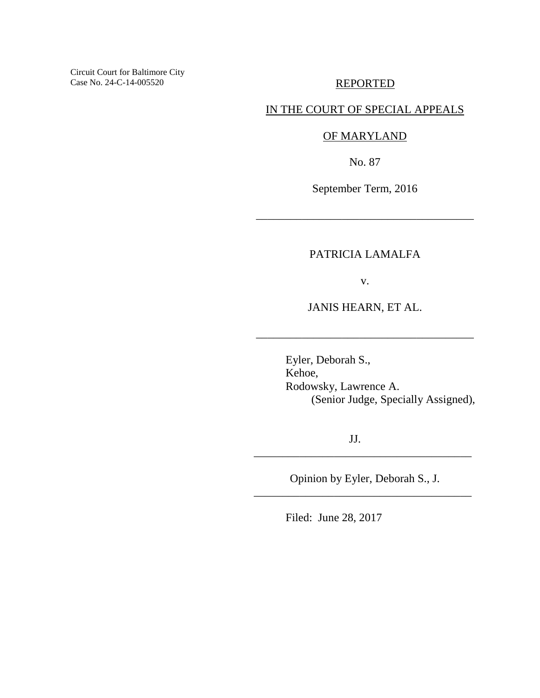Circuit Court for Baltimore City Case No. 24-C-14-005520

## REPORTED

## IN THE COURT OF SPECIAL APPEALS

## OF MARYLAND

No. 87

September Term, 2016

\_\_\_\_\_\_\_\_\_\_\_\_\_\_\_\_\_\_\_\_\_\_\_\_\_\_\_\_\_\_\_\_\_\_\_\_\_\_

## PATRICIA LAMALFA

v.

JANIS HEARN, ET AL.

\_\_\_\_\_\_\_\_\_\_\_\_\_\_\_\_\_\_\_\_\_\_\_\_\_\_\_\_\_\_\_\_\_\_\_\_\_\_

 Eyler, Deborah S., Kehoe, Rodowsky, Lawrence A. (Senior Judge, Specially Assigned),

JJ.

Opinion by Eyler, Deborah S., J. \_\_\_\_\_\_\_\_\_\_\_\_\_\_\_\_\_\_\_\_\_\_\_\_\_\_\_\_\_\_\_\_\_\_\_\_\_\_

\_\_\_\_\_\_\_\_\_\_\_\_\_\_\_\_\_\_\_\_\_\_\_\_\_\_\_\_\_\_\_\_\_\_\_\_\_\_

Filed: June 28, 2017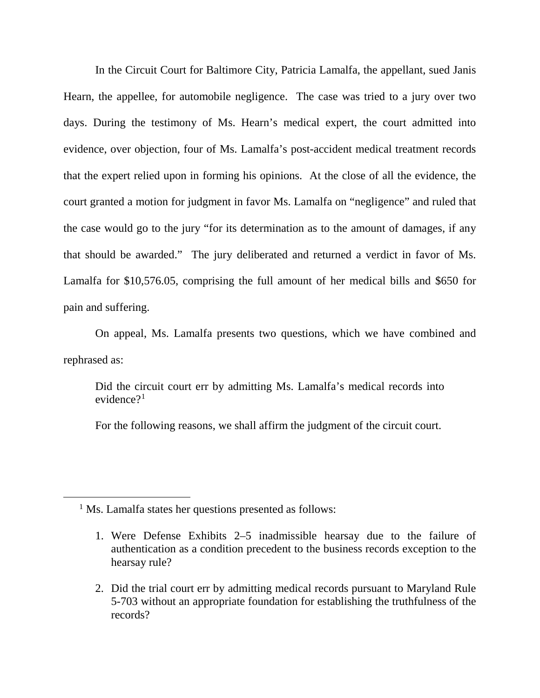In the Circuit Court for Baltimore City, Patricia Lamalfa, the appellant, sued Janis Hearn, the appellee, for automobile negligence. The case was tried to a jury over two days. During the testimony of Ms. Hearn's medical expert, the court admitted into evidence, over objection, four of Ms. Lamalfa's post-accident medical treatment records that the expert relied upon in forming his opinions. At the close of all the evidence, the court granted a motion for judgment in favor Ms. Lamalfa on "negligence" and ruled that the case would go to the jury "for its determination as to the amount of damages, if any that should be awarded." The jury deliberated and returned a verdict in favor of Ms. Lamalfa for \$10,576.05, comprising the full amount of her medical bills and \$650 for pain and suffering.

On appeal, Ms. Lamalfa presents two questions, which we have combined and rephrased as:

Did the circuit court err by admitting Ms. Lamalfa's medical records into evidence?<sup>[1](#page-1-0)</sup>

For the following reasons, we shall affirm the judgment of the circuit court.

<sup>1</sup> Ms. Lamalfa states her questions presented as follows:

<span id="page-1-0"></span> $\overline{a}$ 

2. Did the trial court err by admitting medical records pursuant to Maryland Rule 5-703 without an appropriate foundation for establishing the truthfulness of the records?

<sup>1.</sup> Were Defense Exhibits 2–5 inadmissible hearsay due to the failure of authentication as a condition precedent to the business records exception to the hearsay rule?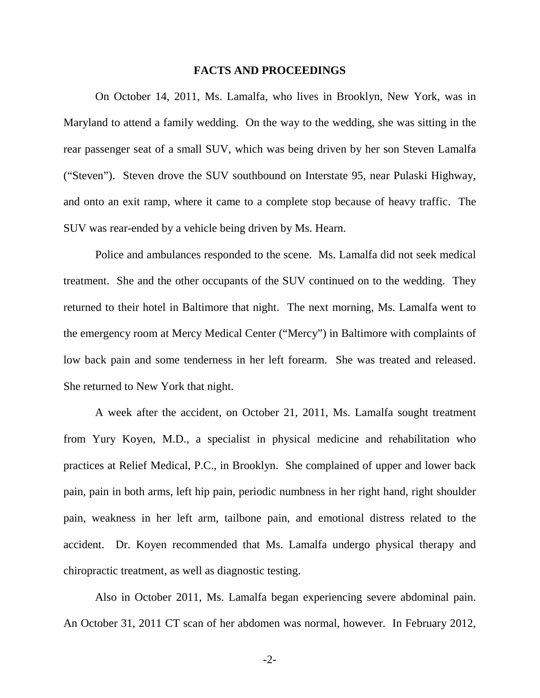#### **FACTS AND PROCEEDINGS**

On October 14, 2011, Ms. Lamalfa, who lives in Brooklyn, New York, was in Maryland to attend a family wedding. On the way to the wedding, she was sitting in the rear passenger seat of a small SUV, which was being driven by her son Steven Lamalfa ("Steven"). Steven drove the SUV southbound on Interstate 95, near Pulaski Highway, and onto an exit ramp, where it came to a complete stop because of heavy traffic. The SUV was rear-ended by a vehicle being driven by Ms. Hearn.

Police and ambulances responded to the scene. Ms. Lamalfa did not seek medical treatment. She and the other occupants of the SUV continued on to the wedding. They returned to their hotel in Baltimore that night. The next morning, Ms. Lamalfa went to the emergency room at Mercy Medical Center ("Mercy") in Baltimore with complaints of low back pain and some tenderness in her left forearm. She was treated and released. She returned to New York that night.

A week after the accident, on October 21, 2011, Ms. Lamalfa sought treatment from Yury Koyen, M.D., a specialist in physical medicine and rehabilitation who practices at Relief Medical, P.C., in Brooklyn. She complained of upper and lower back pain, pain in both arms, left hip pain, periodic numbness in her right hand, right shoulder pain, weakness in her left arm, tailbone pain, and emotional distress related to the accident. Dr. Koyen recommended that Ms. Lamalfa undergo physical therapy and chiropractic treatment, as well as diagnostic testing.

Also in October 2011, Ms. Lamalfa began experiencing severe abdominal pain. An October 31, 2011 CT scan of her abdomen was normal, however. In February 2012,

-2-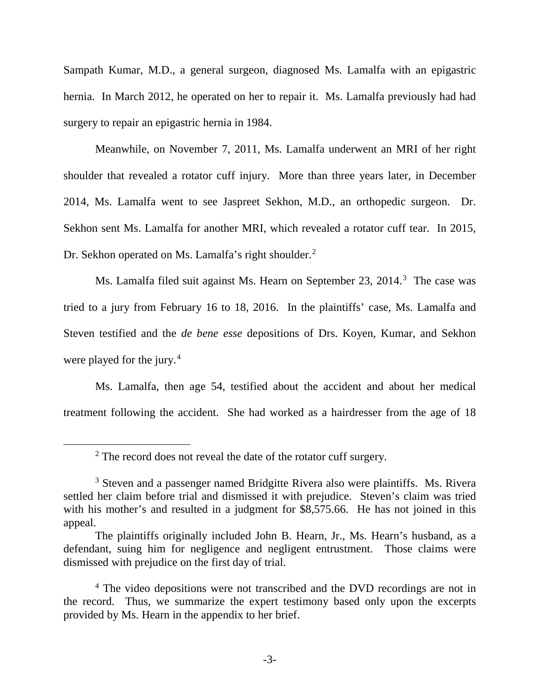Sampath Kumar, M.D., a general surgeon, diagnosed Ms. Lamalfa with an epigastric hernia. In March 2012, he operated on her to repair it. Ms. Lamalfa previously had had surgery to repair an epigastric hernia in 1984.

Meanwhile, on November 7, 2011, Ms. Lamalfa underwent an MRI of her right shoulder that revealed a rotator cuff injury. More than three years later, in December 2014, Ms. Lamalfa went to see Jaspreet Sekhon, M.D., an orthopedic surgeon. Dr. Sekhon sent Ms. Lamalfa for another MRI, which revealed a rotator cuff tear. In 2015, Dr. Sekhon operated on Ms. Lamalfa's right shoulder.<sup>[2](#page-3-0)</sup>

Ms. Lamalfa filed suit against Ms. Hearn on September 2[3](#page-3-1), 2014.<sup>3</sup> The case was tried to a jury from February 16 to 18, 2016. In the plaintiffs' case, Ms. Lamalfa and Steven testified and the *de bene esse* depositions of Drs. Koyen, Kumar, and Sekhon were played for the jury.<sup>[4](#page-3-2)</sup>

Ms. Lamalfa, then age 54, testified about the accident and about her medical treatment following the accident. She had worked as a hairdresser from the age of 18

<span id="page-3-0"></span> $\overline{a}$ 

<sup>&</sup>lt;sup>2</sup> The record does not reveal the date of the rotator cuff surgery.

<span id="page-3-1"></span><sup>&</sup>lt;sup>3</sup> Steven and a passenger named Bridgitte Rivera also were plaintiffs. Ms. Rivera settled her claim before trial and dismissed it with prejudice. Steven's claim was tried with his mother's and resulted in a judgment for  $\overline{\$8,575.66}$ . He has not joined in this appeal.

The plaintiffs originally included John B. Hearn, Jr., Ms. Hearn's husband, as a defendant, suing him for negligence and negligent entrustment. Those claims were dismissed with prejudice on the first day of trial.

<span id="page-3-2"></span><sup>&</sup>lt;sup>4</sup> The video depositions were not transcribed and the DVD recordings are not in the record. Thus, we summarize the expert testimony based only upon the excerpts provided by Ms. Hearn in the appendix to her brief.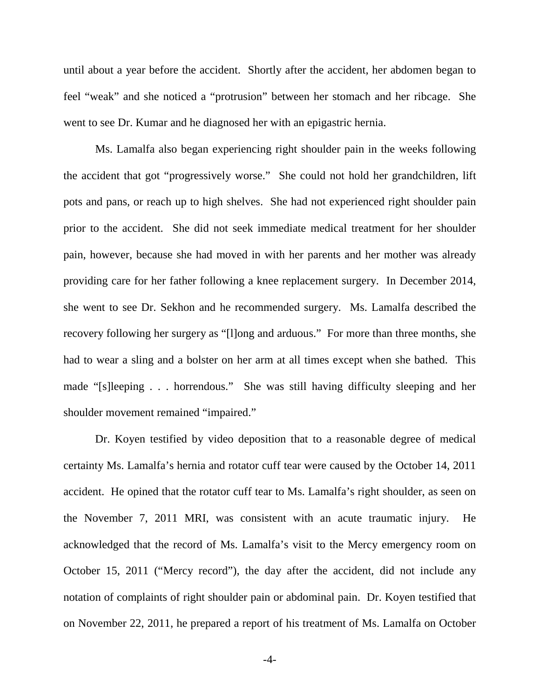until about a year before the accident. Shortly after the accident, her abdomen began to feel "weak" and she noticed a "protrusion" between her stomach and her ribcage. She went to see Dr. Kumar and he diagnosed her with an epigastric hernia.

Ms. Lamalfa also began experiencing right shoulder pain in the weeks following the accident that got "progressively worse." She could not hold her grandchildren, lift pots and pans, or reach up to high shelves. She had not experienced right shoulder pain prior to the accident. She did not seek immediate medical treatment for her shoulder pain, however, because she had moved in with her parents and her mother was already providing care for her father following a knee replacement surgery. In December 2014, she went to see Dr. Sekhon and he recommended surgery. Ms. Lamalfa described the recovery following her surgery as "[l]ong and arduous." For more than three months, she had to wear a sling and a bolster on her arm at all times except when she bathed. This made "[s]leeping . . . horrendous." She was still having difficulty sleeping and her shoulder movement remained "impaired."

Dr. Koyen testified by video deposition that to a reasonable degree of medical certainty Ms. Lamalfa's hernia and rotator cuff tear were caused by the October 14, 2011 accident. He opined that the rotator cuff tear to Ms. Lamalfa's right shoulder, as seen on the November 7, 2011 MRI, was consistent with an acute traumatic injury. He acknowledged that the record of Ms. Lamalfa's visit to the Mercy emergency room on October 15, 2011 ("Mercy record"), the day after the accident, did not include any notation of complaints of right shoulder pain or abdominal pain. Dr. Koyen testified that on November 22, 2011, he prepared a report of his treatment of Ms. Lamalfa on October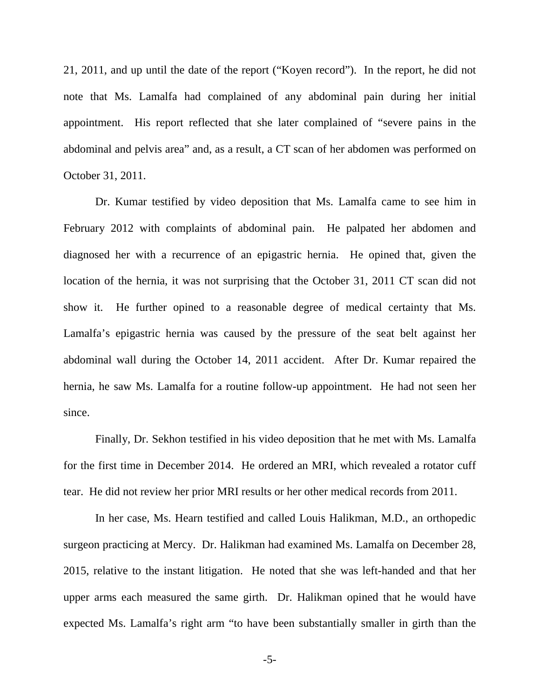21, 2011, and up until the date of the report ("Koyen record"). In the report, he did not note that Ms. Lamalfa had complained of any abdominal pain during her initial appointment. His report reflected that she later complained of "severe pains in the abdominal and pelvis area" and, as a result, a CT scan of her abdomen was performed on October 31, 2011.

Dr. Kumar testified by video deposition that Ms. Lamalfa came to see him in February 2012 with complaints of abdominal pain. He palpated her abdomen and diagnosed her with a recurrence of an epigastric hernia. He opined that, given the location of the hernia, it was not surprising that the October 31, 2011 CT scan did not show it. He further opined to a reasonable degree of medical certainty that Ms. Lamalfa's epigastric hernia was caused by the pressure of the seat belt against her abdominal wall during the October 14, 2011 accident. After Dr. Kumar repaired the hernia, he saw Ms. Lamalfa for a routine follow-up appointment. He had not seen her since.

Finally, Dr. Sekhon testified in his video deposition that he met with Ms. Lamalfa for the first time in December 2014. He ordered an MRI, which revealed a rotator cuff tear. He did not review her prior MRI results or her other medical records from 2011.

In her case, Ms. Hearn testified and called Louis Halikman, M.D., an orthopedic surgeon practicing at Mercy. Dr. Halikman had examined Ms. Lamalfa on December 28, 2015, relative to the instant litigation. He noted that she was left-handed and that her upper arms each measured the same girth. Dr. Halikman opined that he would have expected Ms. Lamalfa's right arm "to have been substantially smaller in girth than the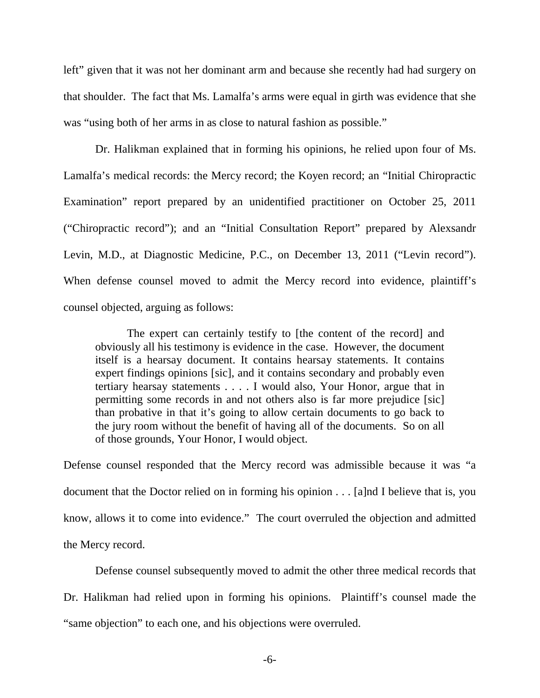left" given that it was not her dominant arm and because she recently had had surgery on that shoulder. The fact that Ms. Lamalfa's arms were equal in girth was evidence that she was "using both of her arms in as close to natural fashion as possible."

Dr. Halikman explained that in forming his opinions, he relied upon four of Ms. Lamalfa's medical records: the Mercy record; the Koyen record; an "Initial Chiropractic Examination" report prepared by an unidentified practitioner on October 25, 2011 ("Chiropractic record"); and an "Initial Consultation Report" prepared by Alexsandr Levin, M.D., at Diagnostic Medicine, P.C., on December 13, 2011 ("Levin record"). When defense counsel moved to admit the Mercy record into evidence, plaintiff's counsel objected, arguing as follows:

The expert can certainly testify to [the content of the record] and obviously all his testimony is evidence in the case. However, the document itself is a hearsay document. It contains hearsay statements. It contains expert findings opinions [sic], and it contains secondary and probably even tertiary hearsay statements . . . . I would also, Your Honor, argue that in permitting some records in and not others also is far more prejudice [sic] than probative in that it's going to allow certain documents to go back to the jury room without the benefit of having all of the documents. So on all of those grounds, Your Honor, I would object.

Defense counsel responded that the Mercy record was admissible because it was "a document that the Doctor relied on in forming his opinion . . . [a]nd I believe that is, you know, allows it to come into evidence." The court overruled the objection and admitted the Mercy record.

Defense counsel subsequently moved to admit the other three medical records that Dr. Halikman had relied upon in forming his opinions. Plaintiff's counsel made the "same objection" to each one, and his objections were overruled.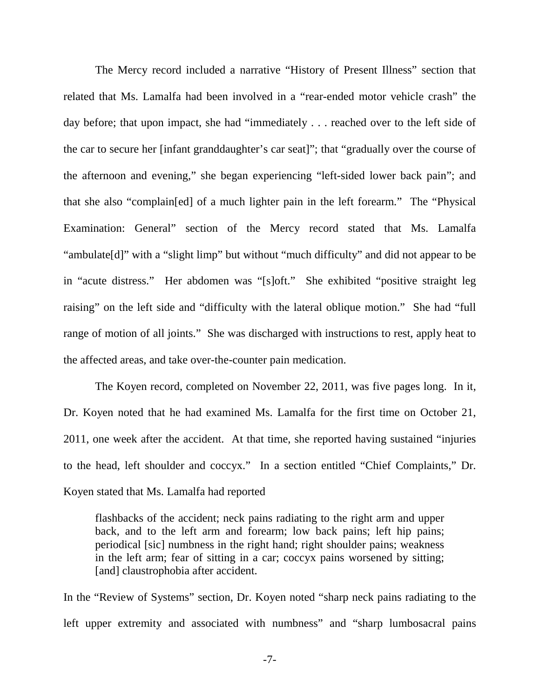The Mercy record included a narrative "History of Present Illness" section that related that Ms. Lamalfa had been involved in a "rear-ended motor vehicle crash" the day before; that upon impact, she had "immediately . . . reached over to the left side of the car to secure her [infant granddaughter's car seat]"; that "gradually over the course of the afternoon and evening," she began experiencing "left-sided lower back pain"; and that she also "complain[ed] of a much lighter pain in the left forearm." The "Physical Examination: General" section of the Mercy record stated that Ms. Lamalfa "ambulate[d]" with a "slight limp" but without "much difficulty" and did not appear to be in "acute distress." Her abdomen was "[s]oft." She exhibited "positive straight leg raising" on the left side and "difficulty with the lateral oblique motion." She had "full range of motion of all joints." She was discharged with instructions to rest, apply heat to the affected areas, and take over-the-counter pain medication.

 The Koyen record, completed on November 22, 2011, was five pages long. In it, Dr. Koyen noted that he had examined Ms. Lamalfa for the first time on October 21, 2011, one week after the accident. At that time, she reported having sustained "injuries to the head, left shoulder and coccyx." In a section entitled "Chief Complaints," Dr. Koyen stated that Ms. Lamalfa had reported

flashbacks of the accident; neck pains radiating to the right arm and upper back, and to the left arm and forearm; low back pains; left hip pains; periodical [sic] numbness in the right hand; right shoulder pains; weakness in the left arm; fear of sitting in a car; coccyx pains worsened by sitting; [and] claustrophobia after accident.

In the "Review of Systems" section, Dr. Koyen noted "sharp neck pains radiating to the left upper extremity and associated with numbness" and "sharp lumbosacral pains

-7-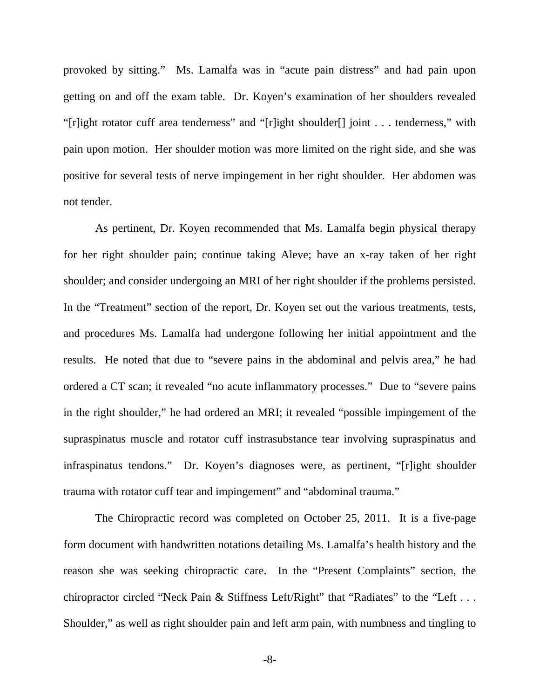provoked by sitting." Ms. Lamalfa was in "acute pain distress" and had pain upon getting on and off the exam table. Dr. Koyen's examination of her shoulders revealed "[r]ight rotator cuff area tenderness" and "[r]ight shoulder[] joint . . . tenderness," with pain upon motion. Her shoulder motion was more limited on the right side, and she was positive for several tests of nerve impingement in her right shoulder. Her abdomen was not tender.

As pertinent, Dr. Koyen recommended that Ms. Lamalfa begin physical therapy for her right shoulder pain; continue taking Aleve; have an x-ray taken of her right shoulder; and consider undergoing an MRI of her right shoulder if the problems persisted. In the "Treatment" section of the report, Dr. Koyen set out the various treatments, tests, and procedures Ms. Lamalfa had undergone following her initial appointment and the results. He noted that due to "severe pains in the abdominal and pelvis area," he had ordered a CT scan; it revealed "no acute inflammatory processes." Due to "severe pains in the right shoulder," he had ordered an MRI; it revealed "possible impingement of the supraspinatus muscle and rotator cuff instrasubstance tear involving supraspinatus and infraspinatus tendons." Dr. Koyen's diagnoses were, as pertinent, "[r]ight shoulder trauma with rotator cuff tear and impingement" and "abdominal trauma."

The Chiropractic record was completed on October 25, 2011. It is a five-page form document with handwritten notations detailing Ms. Lamalfa's health history and the reason she was seeking chiropractic care. In the "Present Complaints" section, the chiropractor circled "Neck Pain & Stiffness Left/Right" that "Radiates" to the "Left . . . Shoulder," as well as right shoulder pain and left arm pain, with numbness and tingling to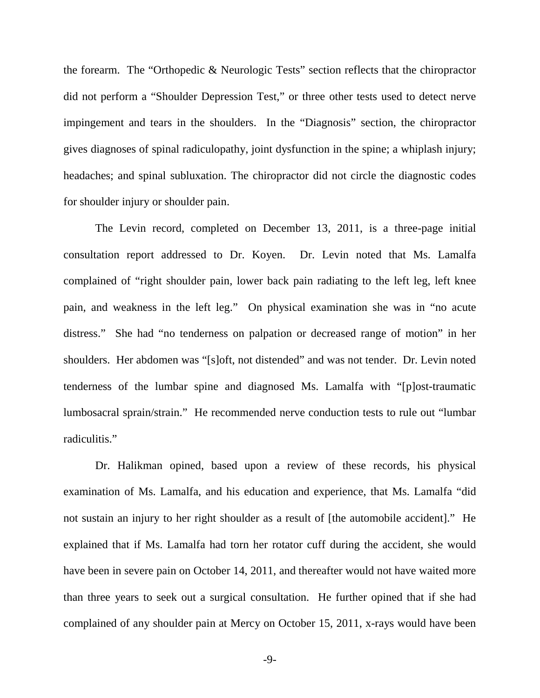the forearm. The "Orthopedic & Neurologic Tests" section reflects that the chiropractor did not perform a "Shoulder Depression Test," or three other tests used to detect nerve impingement and tears in the shoulders. In the "Diagnosis" section, the chiropractor gives diagnoses of spinal radiculopathy, joint dysfunction in the spine; a whiplash injury; headaches; and spinal subluxation. The chiropractor did not circle the diagnostic codes for shoulder injury or shoulder pain.

The Levin record, completed on December 13, 2011, is a three-page initial consultation report addressed to Dr. Koyen. Dr. Levin noted that Ms. Lamalfa complained of "right shoulder pain, lower back pain radiating to the left leg, left knee pain, and weakness in the left leg." On physical examination she was in "no acute distress." She had "no tenderness on palpation or decreased range of motion" in her shoulders. Her abdomen was "[s]oft, not distended" and was not tender. Dr. Levin noted tenderness of the lumbar spine and diagnosed Ms. Lamalfa with "[p]ost-traumatic lumbosacral sprain/strain." He recommended nerve conduction tests to rule out "lumbar radiculitis."

Dr. Halikman opined, based upon a review of these records, his physical examination of Ms. Lamalfa, and his education and experience, that Ms. Lamalfa "did not sustain an injury to her right shoulder as a result of [the automobile accident]." He explained that if Ms. Lamalfa had torn her rotator cuff during the accident, she would have been in severe pain on October 14, 2011, and thereafter would not have waited more than three years to seek out a surgical consultation. He further opined that if she had complained of any shoulder pain at Mercy on October 15, 2011, x-rays would have been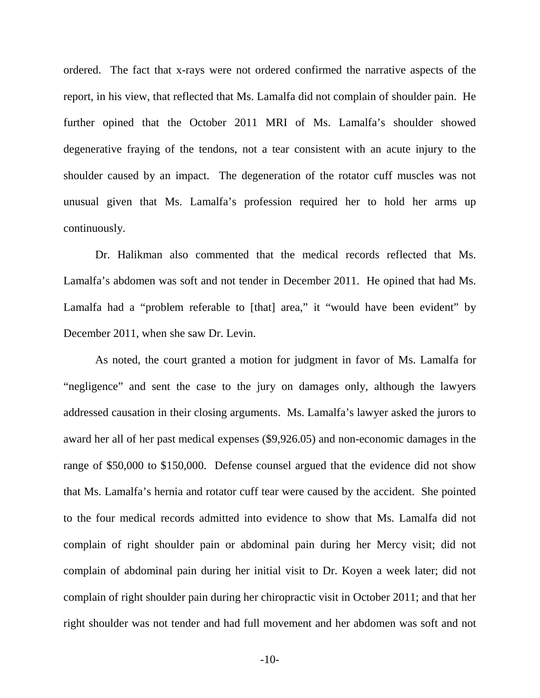ordered. The fact that x-rays were not ordered confirmed the narrative aspects of the report, in his view, that reflected that Ms. Lamalfa did not complain of shoulder pain. He further opined that the October 2011 MRI of Ms. Lamalfa's shoulder showed degenerative fraying of the tendons, not a tear consistent with an acute injury to the shoulder caused by an impact. The degeneration of the rotator cuff muscles was not unusual given that Ms. Lamalfa's profession required her to hold her arms up continuously.

Dr. Halikman also commented that the medical records reflected that Ms. Lamalfa's abdomen was soft and not tender in December 2011. He opined that had Ms. Lamalfa had a "problem referable to [that] area," it "would have been evident" by December 2011, when she saw Dr. Levin.

As noted, the court granted a motion for judgment in favor of Ms. Lamalfa for "negligence" and sent the case to the jury on damages only, although the lawyers addressed causation in their closing arguments. Ms. Lamalfa's lawyer asked the jurors to award her all of her past medical expenses (\$9,926.05) and non-economic damages in the range of \$50,000 to \$150,000. Defense counsel argued that the evidence did not show that Ms. Lamalfa's hernia and rotator cuff tear were caused by the accident. She pointed to the four medical records admitted into evidence to show that Ms. Lamalfa did not complain of right shoulder pain or abdominal pain during her Mercy visit; did not complain of abdominal pain during her initial visit to Dr. Koyen a week later; did not complain of right shoulder pain during her chiropractic visit in October 2011; and that her right shoulder was not tender and had full movement and her abdomen was soft and not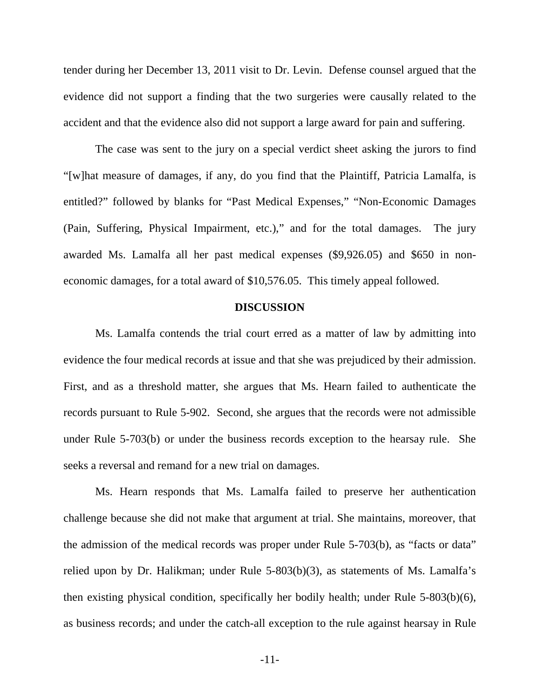tender during her December 13, 2011 visit to Dr. Levin. Defense counsel argued that the evidence did not support a finding that the two surgeries were causally related to the accident and that the evidence also did not support a large award for pain and suffering.

The case was sent to the jury on a special verdict sheet asking the jurors to find "[w]hat measure of damages, if any, do you find that the Plaintiff, Patricia Lamalfa, is entitled?" followed by blanks for "Past Medical Expenses," "Non-Economic Damages (Pain, Suffering, Physical Impairment, etc.)," and for the total damages. The jury awarded Ms. Lamalfa all her past medical expenses (\$9,926.05) and \$650 in noneconomic damages, for a total award of \$10,576.05. This timely appeal followed.

#### **DISCUSSION**

Ms. Lamalfa contends the trial court erred as a matter of law by admitting into evidence the four medical records at issue and that she was prejudiced by their admission. First, and as a threshold matter, she argues that Ms. Hearn failed to authenticate the records pursuant to Rule 5-902. Second, she argues that the records were not admissible under Rule 5-703(b) or under the business records exception to the hearsay rule. She seeks a reversal and remand for a new trial on damages.

Ms. Hearn responds that Ms. Lamalfa failed to preserve her authentication challenge because she did not make that argument at trial. She maintains, moreover, that the admission of the medical records was proper under Rule 5-703(b), as "facts or data" relied upon by Dr. Halikman; under Rule 5-803(b)(3), as statements of Ms. Lamalfa's then existing physical condition, specifically her bodily health; under Rule 5-803(b)(6), as business records; and under the catch-all exception to the rule against hearsay in Rule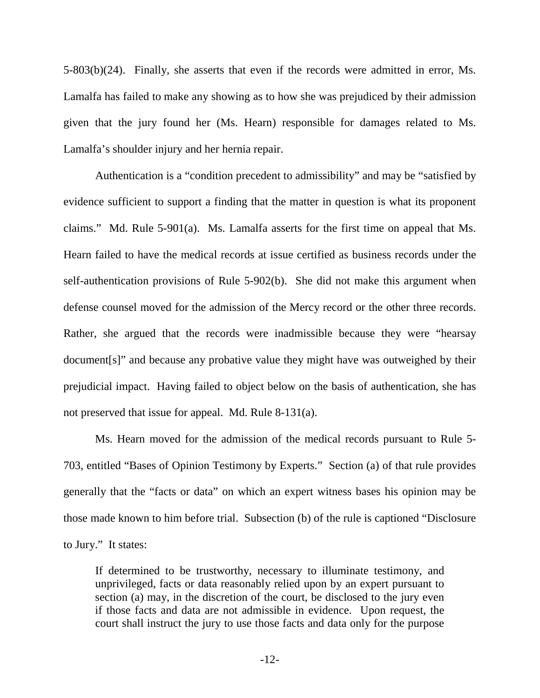5-803(b)(24). Finally, she asserts that even if the records were admitted in error, Ms. Lamalfa has failed to make any showing as to how she was prejudiced by their admission given that the jury found her (Ms. Hearn) responsible for damages related to Ms. Lamalfa's shoulder injury and her hernia repair.

Authentication is a "condition precedent to admissibility" and may be "satisfied by evidence sufficient to support a finding that the matter in question is what its proponent claims." Md. Rule 5-901(a). Ms. Lamalfa asserts for the first time on appeal that Ms. Hearn failed to have the medical records at issue certified as business records under the self-authentication provisions of Rule 5-902(b). She did not make this argument when defense counsel moved for the admission of the Mercy record or the other three records. Rather, she argued that the records were inadmissible because they were "hearsay document[s]" and because any probative value they might have was outweighed by their prejudicial impact. Having failed to object below on the basis of authentication, she has not preserved that issue for appeal. Md. Rule 8-131(a).

Ms. Hearn moved for the admission of the medical records pursuant to Rule 5- 703, entitled "Bases of Opinion Testimony by Experts." Section (a) of that rule provides generally that the "facts or data" on which an expert witness bases his opinion may be those made known to him before trial. Subsection (b) of the rule is captioned "Disclosure to Jury." It states:

If determined to be trustworthy, necessary to illuminate testimony, and unprivileged, facts or data reasonably relied upon by an expert pursuant to section (a) may, in the discretion of the court, be disclosed to the jury even if those facts and data are not admissible in evidence. Upon request, the court shall instruct the jury to use those facts and data only for the purpose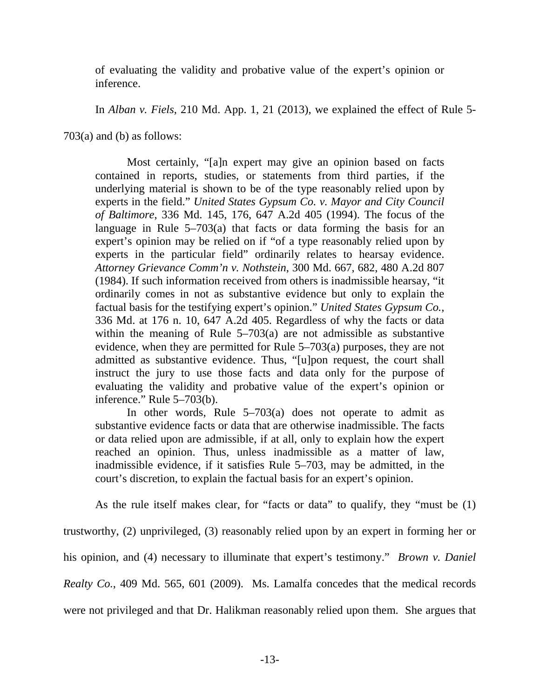of evaluating the validity and probative value of the expert's opinion or inference.

In *Alban v. Fiels*, 210 Md. App. 1, 21 (2013), we explained the effect of Rule 5-

703(a) and (b) as follows:

Most certainly, "[a]n expert may give an opinion based on facts contained in reports, studies, or statements from third parties, if the underlying material is shown to be of the type reasonably relied upon by experts in the field." *United States Gypsum Co. v. Mayor and City Council of Baltimore*, 336 Md. 145, 176, 647 A.2d 405 (1994). The focus of the language in Rule 5–703(a) that facts or data forming the basis for an expert's opinion may be relied on if "of a type reasonably relied upon by experts in the particular field" ordinarily relates to hearsay evidence. *Attorney Grievance Comm'n v. Nothstein*, 300 Md. 667, 682, 480 A.2d 807 (1984). If such information received from others is inadmissible hearsay, "it ordinarily comes in not as substantive evidence but only to explain the factual basis for the testifying expert's opinion." *United States Gypsum Co.*, 336 Md. at 176 n. 10, 647 A.2d 405. Regardless of why the facts or data within the meaning of Rule  $5-703(a)$  are not admissible as substantive evidence, when they are permitted for Rule 5–703(a) purposes, they are not admitted as substantive evidence. Thus, "[u]pon request, the court shall instruct the jury to use those facts and data only for the purpose of evaluating the validity and probative value of the expert's opinion or inference." Rule 5–703(b).

In other words, Rule 5–703(a) does not operate to admit as substantive evidence facts or data that are otherwise inadmissible. The facts or data relied upon are admissible, if at all, only to explain how the expert reached an opinion. Thus, unless inadmissible as a matter of law, inadmissible evidence, if it satisfies Rule 5–703, may be admitted, in the court's discretion, to explain the factual basis for an expert's opinion.

As the rule itself makes clear, for "facts or data" to qualify, they "must be (1)

trustworthy, (2) unprivileged, (3) reasonably relied upon by an expert in forming her or his opinion, and (4) necessary to illuminate that expert's testimony." *Brown v. Daniel Realty Co.*, 409 Md. 565, 601 (2009). Ms. Lamalfa concedes that the medical records were not privileged and that Dr. Halikman reasonably relied upon them. She argues that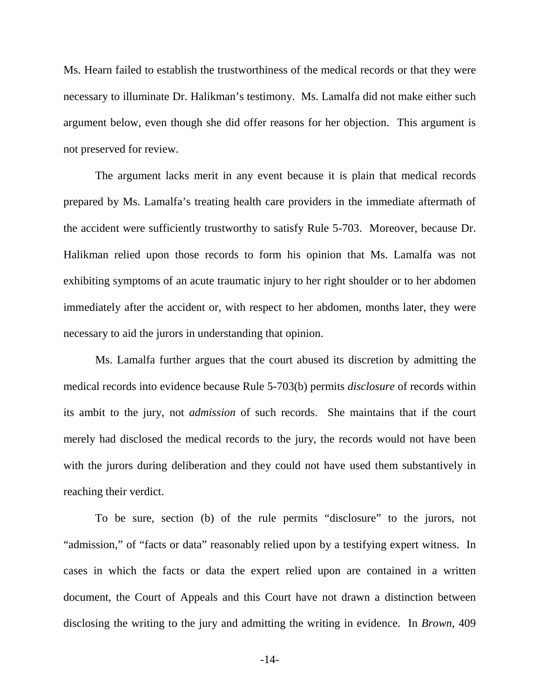Ms. Hearn failed to establish the trustworthiness of the medical records or that they were necessary to illuminate Dr. Halikman's testimony. Ms. Lamalfa did not make either such argument below, even though she did offer reasons for her objection. This argument is not preserved for review.

The argument lacks merit in any event because it is plain that medical records prepared by Ms. Lamalfa's treating health care providers in the immediate aftermath of the accident were sufficiently trustworthy to satisfy Rule 5-703. Moreover, because Dr. Halikman relied upon those records to form his opinion that Ms. Lamalfa was not exhibiting symptoms of an acute traumatic injury to her right shoulder or to her abdomen immediately after the accident or, with respect to her abdomen, months later, they were necessary to aid the jurors in understanding that opinion.

Ms. Lamalfa further argues that the court abused its discretion by admitting the medical records into evidence because Rule 5-703(b) permits *disclosure* of records within its ambit to the jury, not *admission* of such records. She maintains that if the court merely had disclosed the medical records to the jury, the records would not have been with the jurors during deliberation and they could not have used them substantively in reaching their verdict.

To be sure, section (b) of the rule permits "disclosure" to the jurors, not "admission," of "facts or data" reasonably relied upon by a testifying expert witness. In cases in which the facts or data the expert relied upon are contained in a written document, the Court of Appeals and this Court have not drawn a distinction between disclosing the writing to the jury and admitting the writing in evidence. In *Brown*, 409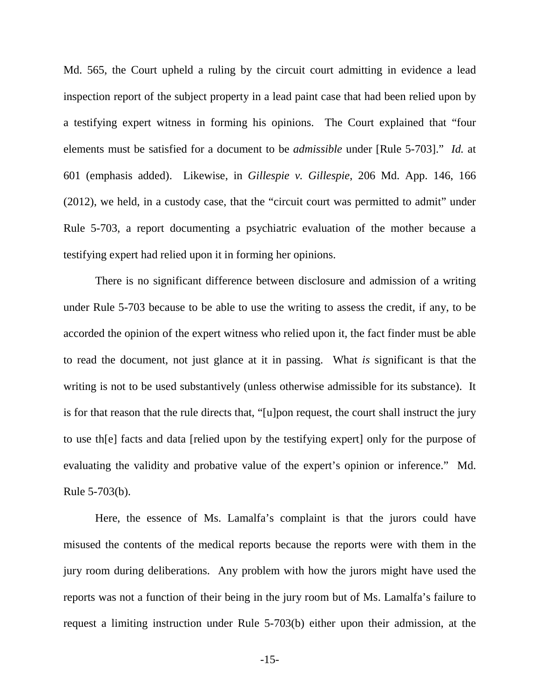Md. 565, the Court upheld a ruling by the circuit court admitting in evidence a lead inspection report of the subject property in a lead paint case that had been relied upon by a testifying expert witness in forming his opinions. The Court explained that "four elements must be satisfied for a document to be *admissible* under [Rule 5-703]." *Id.* at 601 (emphasis added). Likewise, in *Gillespie v. Gillespie*, 206 Md. App. 146, 166 (2012), we held, in a custody case, that the "circuit court was permitted to admit" under Rule 5-703, a report documenting a psychiatric evaluation of the mother because a testifying expert had relied upon it in forming her opinions.

There is no significant difference between disclosure and admission of a writing under Rule 5-703 because to be able to use the writing to assess the credit, if any, to be accorded the opinion of the expert witness who relied upon it, the fact finder must be able to read the document, not just glance at it in passing. What *is* significant is that the writing is not to be used substantively (unless otherwise admissible for its substance). It is for that reason that the rule directs that, "[u]pon request, the court shall instruct the jury to use th[e] facts and data [relied upon by the testifying expert] only for the purpose of evaluating the validity and probative value of the expert's opinion or inference." Md. Rule 5-703(b).

Here, the essence of Ms. Lamalfa's complaint is that the jurors could have misused the contents of the medical reports because the reports were with them in the jury room during deliberations. Any problem with how the jurors might have used the reports was not a function of their being in the jury room but of Ms. Lamalfa's failure to request a limiting instruction under Rule 5-703(b) either upon their admission, at the